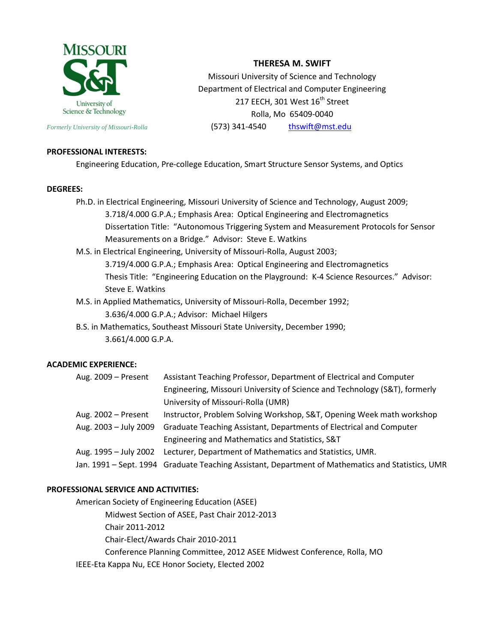

**THERESA M. SWIFT**

Missouri University of Science and Technology Department of Electrical and Computer Engineering 217 EECH, 301 West 16<sup>th</sup> Street Rolla, Mo 65409-0040 *Formerly University of Missouri-Rolla* **(573) 341-4540** [thswift@mst.edu](mailto:thswift@mst.edu)

# **PROFESSIONAL INTERESTS:**

Engineering Education, Pre-college Education, Smart Structure Sensor Systems, and Optics

#### **DEGREES:**

Ph.D. in Electrical Engineering, Missouri University of Science and Technology, August 2009; 3.718/4.000 G.P.A.; Emphasis Area: Optical Engineering and Electromagnetics Dissertation Title: "Autonomous Triggering System and Measurement Protocols for Sensor Measurements on a Bridge." Advisor: Steve E. Watkins

M.S. in Electrical Engineering, University of Missouri-Rolla, August 2003; 3.719/4.000 G.P.A.; Emphasis Area: Optical Engineering and Electromagnetics Thesis Title: "Engineering Education on the Playground: K-4 Science Resources." Advisor: Steve E. Watkins

M.S. in Applied Mathematics, University of Missouri-Rolla, December 1992;

3.636/4.000 G.P.A.; Advisor: Michael Hilgers

B.S. in Mathematics, Southeast Missouri State University, December 1990; 3.661/4.000 G.P.A.

### **ACADEMIC EXPERIENCE:**

| Aug. 2009 - Present   | Assistant Teaching Professor, Department of Electrical and Computer                               |
|-----------------------|---------------------------------------------------------------------------------------------------|
|                       | Engineering, Missouri University of Science and Technology (S&T), formerly                        |
|                       | University of Missouri-Rolla (UMR)                                                                |
| Aug. 2002 - Present   | Instructor, Problem Solving Workshop, S&T, Opening Week math workshop                             |
| Aug. 2003 – July 2009 | Graduate Teaching Assistant, Departments of Electrical and Computer                               |
|                       | Engineering and Mathematics and Statistics, S&T                                                   |
|                       | Aug. 1995 - July 2002 Lecturer, Department of Mathematics and Statistics, UMR.                    |
|                       | Jan. 1991 – Sept. 1994 Graduate Teaching Assistant, Department of Mathematics and Statistics, UMR |

### **PROFESSIONAL SERVICE AND ACTIVITIES:**

American Society of Engineering Education (ASEE) Midwest Section of ASEE, Past Chair 2012-2013 Chair 2011-2012 Chair-Elect/Awards Chair 2010-2011 Conference Planning Committee, 2012 ASEE Midwest Conference, Rolla, MO IEEE-Eta Kappa Nu, ECE Honor Society, Elected 2002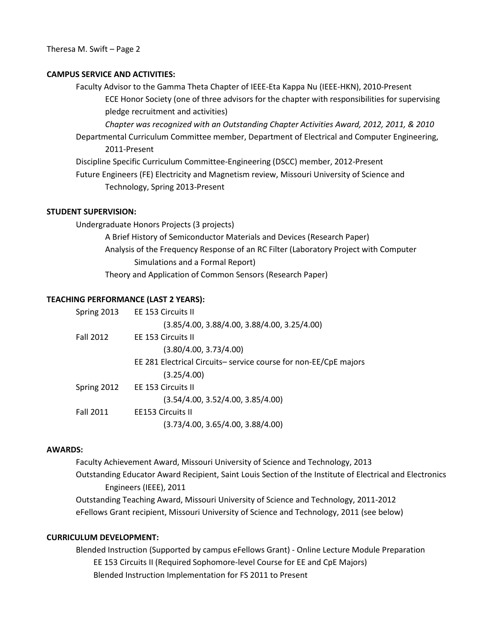### **CAMPUS SERVICE AND ACTIVITIES:**

Faculty Advisor to the Gamma Theta Chapter of IEEE-Eta Kappa Nu (IEEE-HKN), 2010-Present ECE Honor Society (one of three advisors for the chapter with responsibilities for supervising pledge recruitment and activities)

*Chapter was recognized with an Outstanding Chapter Activities Award, 2012, 2011, & 2010*

Departmental Curriculum Committee member, Department of Electrical and Computer Engineering, 2011-Present

Discipline Specific Curriculum Committee-Engineering (DSCC) member, 2012-Present

Future Engineers (FE) Electricity and Magnetism review, Missouri University of Science and Technology, Spring 2013-Present

## **STUDENT SUPERVISION:**

Undergraduate Honors Projects (3 projects)

A Brief History of Semiconductor Materials and Devices (Research Paper) Analysis of the Frequency Response of an RC Filter (Laboratory Project with Computer Simulations and a Formal Report) Theory and Application of Common Sensors (Research Paper)

#### **TEACHING PERFORMANCE (LAST 2 YEARS):**

| Spring 2013      | EE 153 Circuits II                                              |
|------------------|-----------------------------------------------------------------|
|                  | $(3.85/4.00, 3.88/4.00, 3.88/4.00, 3.25/4.00)$                  |
| <b>Fall 2012</b> | EE 153 Circuits II                                              |
|                  | (3.80/4.00, 3.73/4.00)                                          |
|                  | EE 281 Electrical Circuits-service course for non-EE/CpE majors |
|                  | (3.25/4.00)                                                     |
| Spring 2012      | EE 153 Circuits II                                              |
|                  | (3.54/4.00, 3.52/4.00, 3.85/4.00)                               |
| <b>Fall 2011</b> | <b>EE153 Circuits II</b>                                        |
|                  | (3.73/4.00, 3.65/4.00, 3.88/4.00)                               |
|                  |                                                                 |

# **AWARDS:**

Faculty Achievement Award, Missouri University of Science and Technology, 2013 Outstanding Educator Award Recipient, Saint Louis Section of the Institute of Electrical and Electronics Engineers (IEEE), 2011 Outstanding Teaching Award, Missouri University of Science and Technology, 2011-2012 eFellows Grant recipient, Missouri University of Science and Technology, 2011 (see below)

#### **CURRICULUM DEVELOPMENT:**

Blended Instruction (Supported by campus eFellows Grant) - Online Lecture Module Preparation EE 153 Circuits II (Required Sophomore-level Course for EE and CpE Majors) Blended Instruction Implementation for FS 2011 to Present